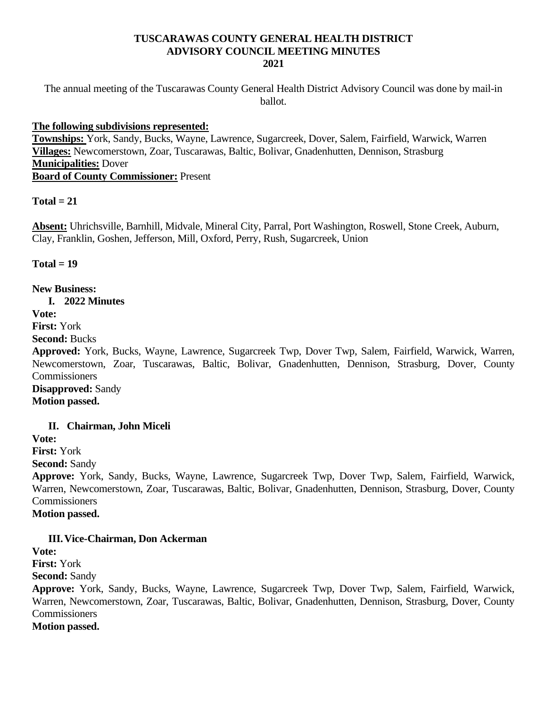### **TUSCARAWAS COUNTY GENERAL HEALTH DISTRICT ADVISORY COUNCIL MEETING MINUTES 2021**

The annual meeting of the Tuscarawas County General Health District Advisory Council was done by mail-in ballot.

### **The following subdivisions represented:**

**Townships:** York, Sandy, Bucks, Wayne, Lawrence, Sugarcreek, Dover, Salem, Fairfield, Warwick, Warren **Villages:** Newcomerstown, Zoar, Tuscarawas, Baltic, Bolivar, Gnadenhutten, Dennison, Strasburg **Municipalities:** Dover **Board of County Commissioner:** Present

#### $Total = 21$

**Absent:** Uhrichsville, Barnhill, Midvale, Mineral City, Parral, Port Washington, Roswell, Stone Creek, Auburn, Clay, Franklin, Goshen, Jefferson, Mill, Oxford, Perry, Rush, Sugarcreek, Union

**Total = 19**

**New Business:**

**I. 2022 Minutes** 

**Vote:** 

**First:** York

**Second:** Bucks

**Approved:** York, Bucks, Wayne, Lawrence, Sugarcreek Twp, Dover Twp, Salem, Fairfield, Warwick, Warren, Newcomerstown, Zoar, Tuscarawas, Baltic, Bolivar, Gnadenhutten, Dennison, Strasburg, Dover, County **Commissioners** 

**Disapproved:** Sandy **Motion passed.**

# **II. Chairman, John Miceli**

**Vote:** 

**First:** York

**Second:** Sandy

**Approve:** York, Sandy, Bucks, Wayne, Lawrence, Sugarcreek Twp, Dover Twp, Salem, Fairfield, Warwick, Warren, Newcomerstown, Zoar, Tuscarawas, Baltic, Bolivar, Gnadenhutten, Dennison, Strasburg, Dover, County Commissioners

**Motion passed.**

# **III.Vice-Chairman, Don Ackerman**

**Vote: First:** York **Second:** Sandy **Approve:** York, Sandy, Bucks, Wayne, Lawrence, Sugarcreek Twp, Dover Twp, Salem, Fairfield, Warwick, Warren, Newcomerstown, Zoar, Tuscarawas, Baltic, Bolivar, Gnadenhutten, Dennison, Strasburg, Dover, County **Commissioners Motion passed.**